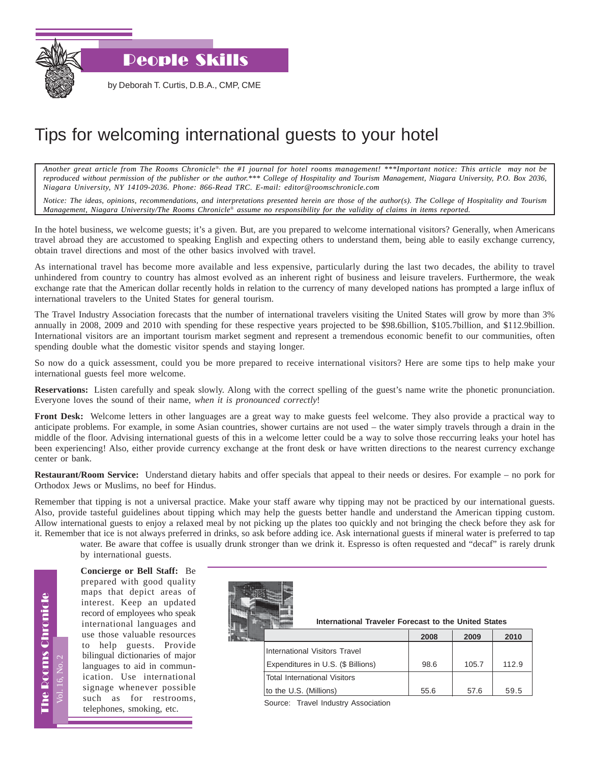

by Deborah T. Curtis, D.B.A., CMP, CME

## Tips for welcoming international guests to your hotel

*Another great article from The Rooms Chronicle*®*, the #1 journal for hotel rooms management! \*\*\*Important notice: This article may not be reproduced without permission of the publisher or the author.\*\*\* College of Hospitality and Tourism Management, Niagara University, P.O. Box 2036, Niagara University, NY 14109-2036. Phone: 866-Read TRC. E-mail: editor@roomschronicle.com*

*Notice: The ideas, opinions, recommendations, and interpretations presented herein are those of the author(s). The College of Hospitality and Tourism Management, Niagara University/The Rooms Chronicle*® *assume no responsibility for the validity of claims in items reported.*

In the hotel business, we welcome guests; it's a given. But, are you prepared to welcome international visitors? Generally, when Americans travel abroad they are accustomed to speaking English and expecting others to understand them, being able to easily exchange currency, obtain travel directions and most of the other basics involved with travel.

As international travel has become more available and less expensive, particularly during the last two decades, the ability to travel unhindered from country to country has almost evolved as an inherent right of business and leisure travelers. Furthermore, the weak exchange rate that the American dollar recently holds in relation to the currency of many developed nations has prompted a large influx of international travelers to the United States for general tourism.

The Travel Industry Association forecasts that the number of international travelers visiting the United States will grow by more than 3% annually in 2008, 2009 and 2010 with spending for these respective years projected to be \$98.6billion, \$105.7billion, and \$112.9billion. International visitors are an important tourism market segment and represent a tremendous economic benefit to our communities, often spending double what the domestic visitor spends and staying longer.

So now do a quick assessment, could you be more prepared to receive international visitors? Here are some tips to help make your international guests feel more welcome.

**Reservations:** Listen carefully and speak slowly. Along with the correct spelling of the guest's name write the phonetic pronunciation. Everyone loves the sound of their name, *when it is pronounced correctly*!

**Front Desk:** Welcome letters in other languages are a great way to make guests feel welcome. They also provide a practical way to anticipate problems. For example, in some Asian countries, shower curtains are not used – the water simply travels through a drain in the middle of the floor. Advising international guests of this in a welcome letter could be a way to solve those reccurring leaks your hotel has been experiencing! Also, either provide currency exchange at the front desk or have written directions to the nearest currency exchange center or bank.

**Restaurant/Room Service:** Understand dietary habits and offer specials that appeal to their needs or desires. For example – no pork for Orthodox Jews or Muslims, no beef for Hindus.

Remember that tipping is not a universal practice. Make your staff aware why tipping may not be practiced by our international guests. Also, provide tasteful guidelines about tipping which may help the guests better handle and understand the American tipping custom. Allow international guests to enjoy a relaxed meal by not picking up the plates too quickly and not bringing the check before they ask for it. Remember that ice is not always preferred in drinks, so ask before adding ice. Ask international guests if mineral water is preferred to tap

water. Be aware that coffee is usually drunk stronger than we drink it. Espresso is often requested and "decaf" is rarely drunk by international guests.

**Concierge or Bell Staff:** Be prepared with good quality maps that depict areas of interest. Keep an updated record of employees who speak international languages and use those valuable resources to help guests. Provide bilingual dictionaries of major languages to aid in communication. Use international signage whenever possible such as for restrooms, telephones, smoking, etc.

Vol. 16, No. 2

The Rooms Chronicle

**The Rooms Chronicle** 

| <b>THEFT.</b><br><b>COMMERCIAL</b> | International Traveler Forecast to the United States |  |  |  |
|------------------------------------|------------------------------------------------------|--|--|--|
|                                    |                                                      |  |  |  |

|                                    | 2008 | 2009  | 2010  |
|------------------------------------|------|-------|-------|
| International Visitors Travel      |      |       |       |
| Expenditures in U.S. (\$ Billions) | 98.6 | 105.7 | 112.9 |
| Total International Visitors       |      |       |       |
| to the U.S. (Millions)             | 55.6 | 57.6  | 59.5  |

Source: Travel Industry Association